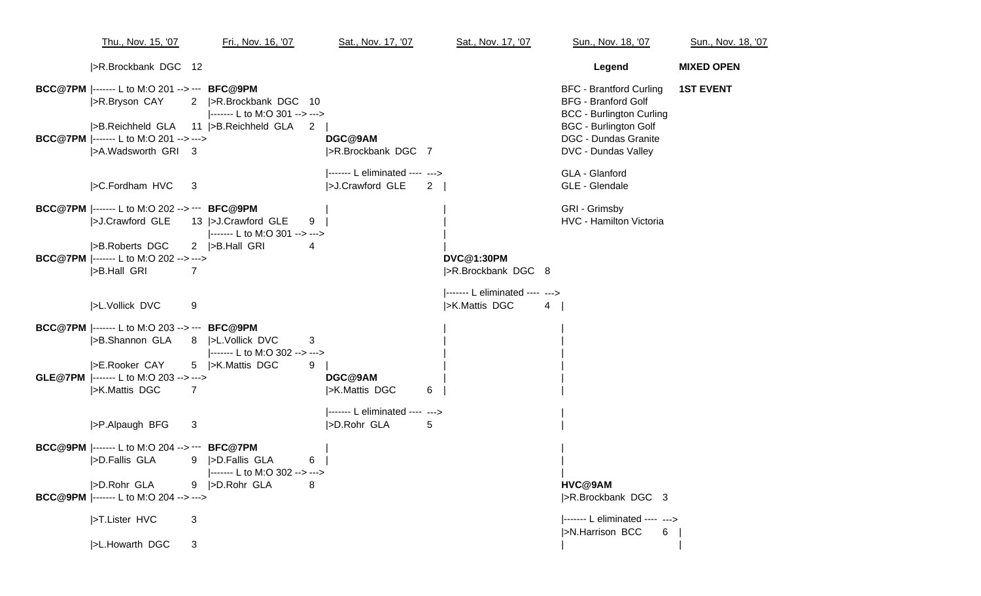| Thu., Nov. 15, '07                                                                        | Fri., Nov. 16, '07                                                                    | Sat., Nov. 17, '07                                 | Sat., Nov. 17, '07                                                          | Sun., Nov. 18, '07                                                                                                              | Sun., Nov. 18, '07 |
|-------------------------------------------------------------------------------------------|---------------------------------------------------------------------------------------|----------------------------------------------------|-----------------------------------------------------------------------------|---------------------------------------------------------------------------------------------------------------------------------|--------------------|
| >R.Brockbank DGC 12                                                                       |                                                                                       |                                                    |                                                                             | Legend                                                                                                                          | <b>MIXED OPEN</b>  |
| <b>BCC@7PM</b>  ------- L to M:O 201 --> --- BFC@9PM<br>>R.Bryson CAY<br>>B.Reichheld GLA | 2   > R. Brockbank DGC 10<br> ------- L to M:O 301 --> ---><br>11  >B.Reichheld GLA 2 |                                                    |                                                                             | <b>BFC - Brantford Curling</b><br><b>BFG - Branford Golf</b><br><b>BCC - Burlington Curling</b><br><b>BGC - Burlington Golf</b> | <b>1ST EVENT</b>   |
| <b>BCC@7PM</b>  ------- L to M:O 201 --> ---><br> >A.Wadsworth GRI 3                      |                                                                                       | DGC@9AM<br> >R.Brockbank DGC 7                     |                                                                             | <b>DGC - Dundas Granite</b><br>DVC - Dundas Valley                                                                              |                    |
| >C.Fordham HVC                                                                            | $\mathbf{3}$                                                                          | ------- L eliminated ---- ---><br> >J.Crawford GLE |                                                                             | GLA - Glanford<br>GLE - Glendale                                                                                                |                    |
| <b>BCC@7PM</b>  ------- L to M:O 202 --> --- BFC@9PM<br> >J.Crawford GLE                  | 13  >J.Crawford GLE<br>9<br> ------- L to M:O 301 --> --->                            |                                                    |                                                                             | GRI - Grimsby<br>HVC - Hamilton Victoria                                                                                        |                    |
| >B.Roberts DGC<br><b>BCC@7PM</b>  ------- L to M:O 202 --> ---><br>>B.Hall GRI            | 2  >B.Hall GRI<br>4<br>$\overline{7}$                                                 |                                                    | <b>DVC@1:30PM</b><br> >R.Brockbank DGC 8<br> ------- L eliminated ---- ---> |                                                                                                                                 |                    |
| >L.Vollick DVC                                                                            | 9                                                                                     |                                                    | >K.Mattis DGC<br>4                                                          |                                                                                                                                 |                    |
| <b>BCC@7PM</b>  ------- L to M:O 203 --> --- BFC@9PM                                      | >B.Shannon GLA 8  >L.Vollick DVC<br>3<br> ------- L to M:O 302 --> --->               |                                                    |                                                                             |                                                                                                                                 |                    |
| >E.Rooker CAY<br>GLE@7PM  ------- L to M:O 203 --> ---><br> >K.Mattis DGC                 | 5  >K.Mattis DGC<br>9<br>7                                                            | DGC@9AM<br> >K.Mattis DGC<br>6                     |                                                                             |                                                                                                                                 |                    |
| >P.Alpaugh BFG                                                                            | 3                                                                                     | ------- L eliminated ---- ---><br>>D.Rohr GLA<br>5 |                                                                             |                                                                                                                                 |                    |
| BCC@9PM  ------- L to M:O 204 --> --- BFC@7PM<br>>D.Fallis GLA                            | 9  >D.Fallis GLA<br>6<br> ------- L to M:O 302 --> --->                               |                                                    |                                                                             |                                                                                                                                 |                    |
| >D.Rohr GLA<br>BCC@9PM  ------- L to M:O 204 --> --->                                     | 9  >D.Rohr GLA<br>8                                                                   |                                                    |                                                                             | HVC@9AM<br> >R.Brockbank DGC 3                                                                                                  |                    |
| >T.Lister HVC                                                                             | 3                                                                                     |                                                    |                                                                             | ------- L eliminated ---- ---><br> >N.Harrison BCC<br>6                                                                         |                    |
| >L.Howarth DGC                                                                            | 3                                                                                     |                                                    |                                                                             |                                                                                                                                 |                    |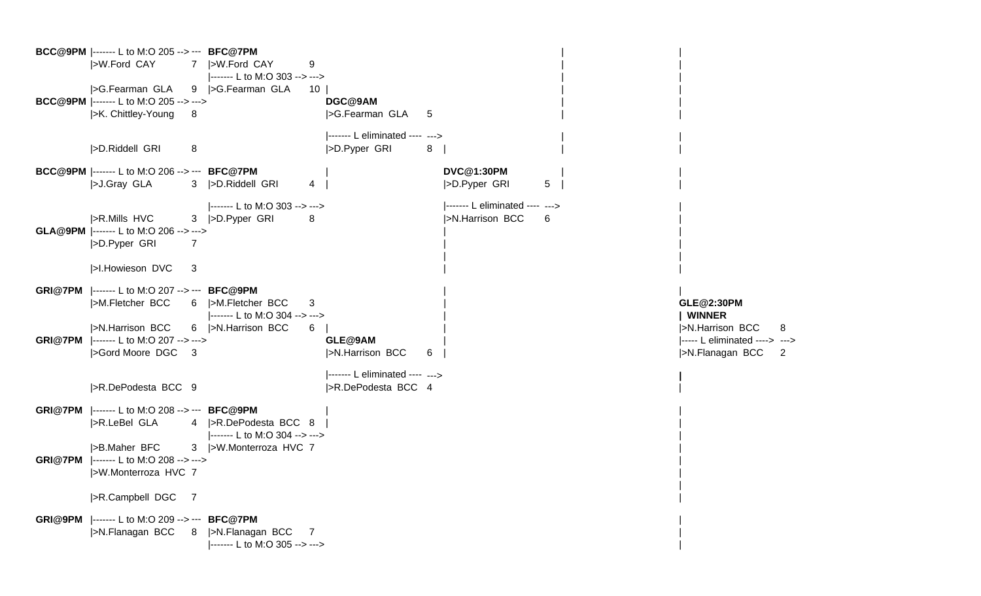**BCC@9PM** |------- L to M:O 205 --> --- **BFC@7PM** | | |>W.Ford CAY 7 |>W.Ford CAY 9 |------- L to M:O 303 --> ---> |>G.Fearman GLA 9 |>G.Fearman GLA 10 | | | **BCC@9PM** |------- L to M:O 205 --> ---> **DGC@9AM** | | |>K. Chittley-Young 8 |>G.Fearman GLA 5 |------- L eliminated ---- ---> |>D.Riddell GRI 8 |>D.Pyper GRI 8 | | | **BCC@9PM** |------- L to M:O 206 --> --- **BFC@7PM** | **DVC@1:30PM** | | |>J.Gray GLA 3 |>D.Riddell GRI 4 | |>D.Pyper GRI 5 | | |------- L to M:O 303 --> ---> | |------ L eliminated ---- ---> |>R.Mills HVC 3 |>D.Pyper GRI 8 | > |>N.Harrison BCC 6 **GLA@9PM** |------- L to M:O 206 --> ---> | | |>D.Pyper GRI 7 | | |>I.Howieson DVC 3 **GRI@7PM** |------- L to M:O 207 --> --- **BFC@9PM** | | |>M.Fletcher BCC 6 |>M.Fletcher BCC 3 | **GLE@2:30PM** |------- L to M:O 304 --> ---> | **| WINNER** |>N.Harrison BCC 6 |>N.Harrison BCC 6 | | |>N.Harrison BCC 8 **GRI@7PM** |------- L to M:O 207 --> ---> **GLE@9AM** | |----- L eliminated ----> ---> |>Gord Moore DGC 3 |>N.Harrison BCC 6 | |>N.Flanagan BCC 2 |------- L eliminated ---- ---> **|** |>R.DePodesta BCC 9 | |>R.DePodesta BCC 4 **GRI@7PM** |------- L to M:O 208 --> --- **BFC@9PM** | | |>R.LeBel GLA 4 |>R.DePodesta BCC 8 | | |------- L to M:O 304 --> ---> |>B.Maher BFC 3 |>W.Monterroza HVC 7 **GRI@7PM** |------- L to M:O 208 --> ---> | |>W.Monterroza HVC 7 | | |>R.Campbell DGC 7 | **GRI@9PM** |------- L to M:O 209 --> --- **BFC@7PM** | |>N.Flanagan BCC 8 |>N.Flanagan BCC 7 | |------- L to M:O 305 --> --->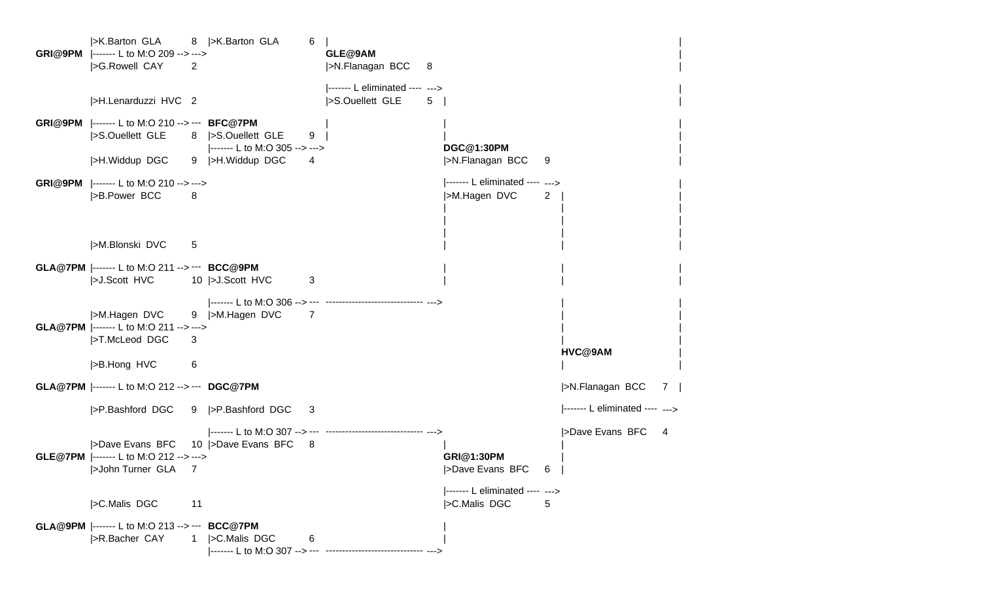|>K.Barton GLA 8 |>K.Barton GLA 6 | | **GRI@9PM** |------- L to M:O 209 --> ---> **GLE@9AM** | |>G.Rowell CAY 2 |>N.Flanagan BCC 8 |------- L eliminated ---- ---> | |>H.Lenarduzzi HVC 2 | |>S.Ouellett GLE 5 | **GRI@9PM** |------- L to M:O 210 --> --- **BFC@7PM** | | | |>S.Ouellett GLE 8 |>S.Ouellett GLE 9 | | | |------- L to M:O 305 --> ---> **DGC@1:30PM** | |>H.Widdup DGC 9 |>H.Widdup DGC 4 | |>N.Flanagan BCC 9 **GRI@9PM** |------- L to M:O 210 --> ---> |------- L eliminated ---- ---> | |>B.Power BCC 8 |>M.Hagen DVC 2 | | | | | | | | | | | |>M.Blonski DVC 5 **GLA@7PM** |------- L to M:O 211 --> --- **BCC@9PM** | | | | > J.Scott HVC 10 | > J.Scott HVC 3 |------- L to M:O 306 --> --- ------------------------------ ---> | | |>M.Hagen DVC 9 |>M.Hagen DVC 7 **GLA@7PM** |------- L to M:O 211 --> ---> | | |>T.McLeod DGC 3 | | **HVC@9AM** | |>B.Hong HVC 6 | | **GLA@7PM** |------- L to M:O 212 --> --- **DGC@7PM** |>N.Flanagan BCC 7 | |>P.Bashford DGC 9 |>P.Bashford DGC 3 |------- L eliminated ---- ---> |------- L to M:O 307 --> --- ------------------------------ ---> |>Dave Evans BFC 4 |>Dave Evans BFC 10 |>Dave Evans BFC 8 **GLE@7PM** |------- L to M:O 212 --> ---> **GRI@1:30PM** | |>John Turner GLA 7 |>Dave Evans BFC 6 | |------- L eliminated ---- ---> |>C.Malis DGC 11 | 120 | 120 | 120 | 120 | 120 | 120 | 120 | 130 | 130 | 130 | 130 | 130 | 130 | 130 | 130 | 130 | 130 | 130 | 130 | 130 | 130 | 130 | 130 | 130 | 130 | 130 | 130 | 130 | 130 | 130 | 130 | 130 | 130 | 130 | **GLA@9PM** |------- L to M:O 213 --> --- **BCC@7PM** | |>R.Bacher CAY 1 |>C.Malis DGC 6 |------- L to M:O 307 --> --- ------------------------------ --->